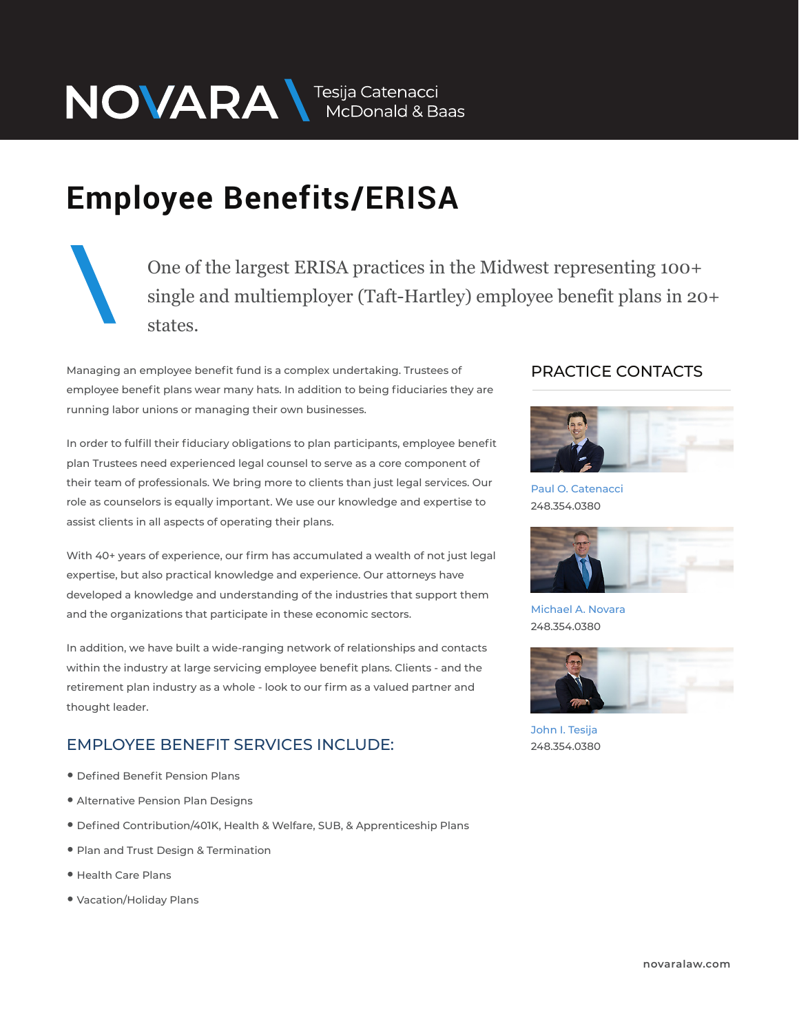NOVARA MEDOnald & Baas

## **Employee Benefits/ERISA**

One of the largest ERISA practices in the Midwest representing 100+ single and multiemployer (Taft-Hartley) employee benefit plans in 20+ states.

Managing an employee benefit fund is a complex undertaking. Trustees of employee benefit plans wear many hats. In addition to being fiduciaries they are running labor unions or managing their own businesses.

In order to fulfill their fiduciary obligations to plan participants, employee benefit plan Trustees need experienced legal counsel to serve as a core component of their team of professionals. We bring more to clients than just legal services. Our role as counselors is equally important. We use our knowledge and expertise to assist clients in all aspects of operating their plans.

With 40+ years of experience, our firm has accumulated a wealth of not just legal expertise, but also practical knowledge and experience. Our attorneys have developed a knowledge and understanding of the industries that support them and the organizations that participate in these economic sectors.

In addition, we have built a wide-ranging network of relationships and contacts within the industry at large servicing employee benefit plans. Clients - and the retirement plan industry as a whole - look to our firm as a valued partner and thought leader.

## EMPLOYEE BENEFIT SERVICES INCLUDE:

- Defined Benefit Pension Plans
- Alternative Pension Plan Designs
- Defined Contribution/401K, Health & Welfare, SUB, & Apprenticeship Plans
- Plan and Trust Design & Termination
- Health Care Plans
- Vacation/Holiday Plans

## PRACTICE CONTACTS  $\overline{\phantom{a}}$



Paul O. Catenacci 248.354.0380



Michael A. Novara 248.354.0380



John I. Tesija 248.354.0380